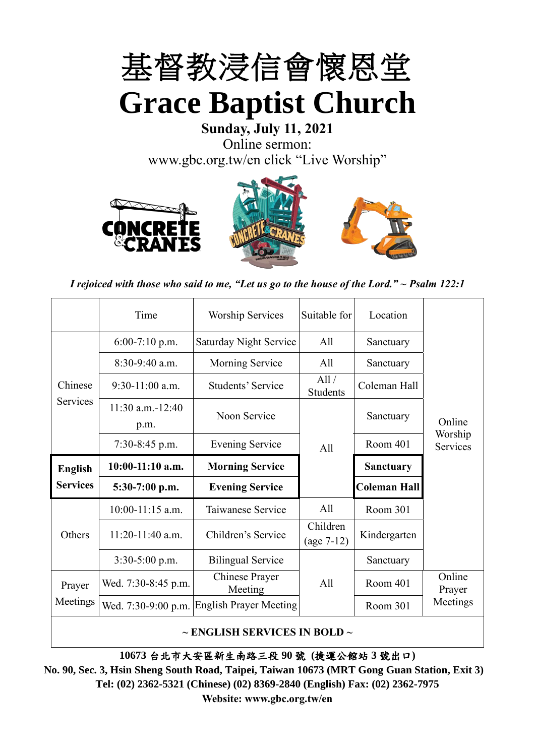

**Sunday, July 11, 2021** Online sermon: [www.gbc.org.tw/en](http://www.gbc.org.tw/en) click "Live Worship"







*I rejoiced with those who said to me, "Let us go to the house of the Lord." ~ Psalm 122:1*

|                 | Time                          | <b>Worship Services</b>   | Suitable for             | Location            |                     |
|-----------------|-------------------------------|---------------------------|--------------------------|---------------------|---------------------|
|                 | $6:00-7:10$ p.m.              | Saturday Night Service    | All                      | Sanctuary           |                     |
|                 | $8:30-9:40$ a.m.              | <b>Morning Service</b>    | All                      | Sanctuary           |                     |
| Chinese         | $9:30-11:00$ a.m.             | Students' Service         | All/<br>Students         | Coleman Hall        |                     |
| <b>Services</b> | $11:30$ a.m. $-12:40$<br>p.m. | Noon Service              |                          | Sanctuary           | Online              |
|                 | $7:30-8:45$ p.m.              | <b>Evening Service</b>    | A11                      | Room 401            | Worship<br>Services |
| <b>English</b>  | $10:00-11:10$ a.m.            | <b>Morning Service</b>    |                          | <b>Sanctuary</b>    |                     |
| <b>Services</b> | 5:30-7:00 p.m.                | <b>Evening Service</b>    |                          | <b>Coleman Hall</b> |                     |
|                 | 10:00-11:15 a.m.              | Taiwanese Service         | All                      | Room 301            |                     |
| Others          | $11:20-11:40$ a.m.            | Children's Service        | Children<br>$(age 7-12)$ | Kindergarten        |                     |
|                 | 3:30-5:00 p.m.                | <b>Bilingual Service</b>  |                          | Sanctuary           |                     |
| Prayer          | Wed. 7:30-8:45 p.m.           | Chinese Prayer<br>Meeting | A11                      | Room 401            | Online<br>Prayer    |
| Meetings        |                               |                           |                          |                     |                     |
|                 |                               |                           |                          |                     |                     |

**~ ENGLISH SERVICES IN BOLD ~**

**10673** 台北市大安區新生南路三段 **90** 號 **(**捷運公館站 **3** 號出口**)**

**No. 90, Sec. 3, Hsin Sheng South Road, Taipei, Taiwan 10673 (MRT Gong Guan Station, Exit 3) Tel: (02) 2362-5321 (Chinese) (02) 8369-2840 (English) Fax: (02) 2362-7975 Website: www.gbc.org.tw/en**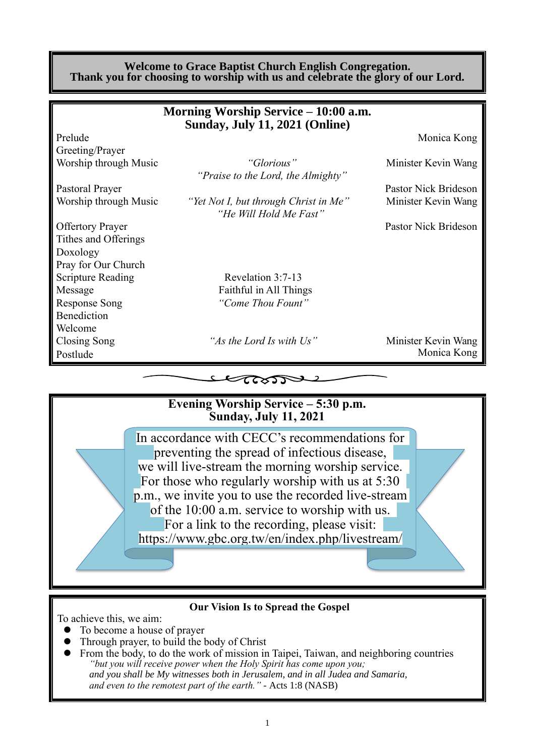#### **Welcome to Grace Baptist Church English Congregation. Thank you for choosing to worship with us and celebrate the glory of our Lord.**

|                          | Morning Worship Service – 10:00 a.m.                            |                      |
|--------------------------|-----------------------------------------------------------------|----------------------|
|                          | <b>Sunday, July 11, 2021 (Online)</b>                           |                      |
| Prelude                  |                                                                 | Monica Kong          |
| Greeting/Prayer          |                                                                 |                      |
| Worship through Music    | "Glorious"                                                      | Minister Kevin Wang  |
|                          | "Praise to the Lord, the Almighty"                              |                      |
| Pastoral Prayer          |                                                                 | Pastor Nick Brideson |
| Worship through Music    | "Yet Not I, but through Christ in Me"<br>"He Will Hold Me Fast" | Minister Kevin Wang  |
| <b>Offertory Prayer</b>  |                                                                 | Pastor Nick Brideson |
| Tithes and Offerings     |                                                                 |                      |
| Doxology                 |                                                                 |                      |
| Pray for Our Church      |                                                                 |                      |
| <b>Scripture Reading</b> | Revelation 3:7-13                                               |                      |
| Message                  | Faithful in All Things                                          |                      |
| <b>Response Song</b>     | "Come Thou Fount"                                               |                      |
| Benediction              |                                                                 |                      |
| Welcome                  |                                                                 |                      |
| Closing Song             | "As the Lord Is with Us"                                        | Minister Kevin Wang  |
| Postlude                 |                                                                 | Monica Kong          |
|                          |                                                                 |                      |



#### **Our Vision Is to Spread the Gospel**

To achieve this, we aim:

- ⚫ To become a house of prayer
- ⚫ Through prayer, to build the body of Christ
- ⚫ From the body, to do the work of mission in Taipei, Taiwan, and neighboring countries *"but you will receive power when the Holy Spirit has come upon you; and you shall be My witnesses both in Jerusalem, and in all Judea and Samaria, and even to the remotest part of the earth." -* Acts 1:8 (NASB)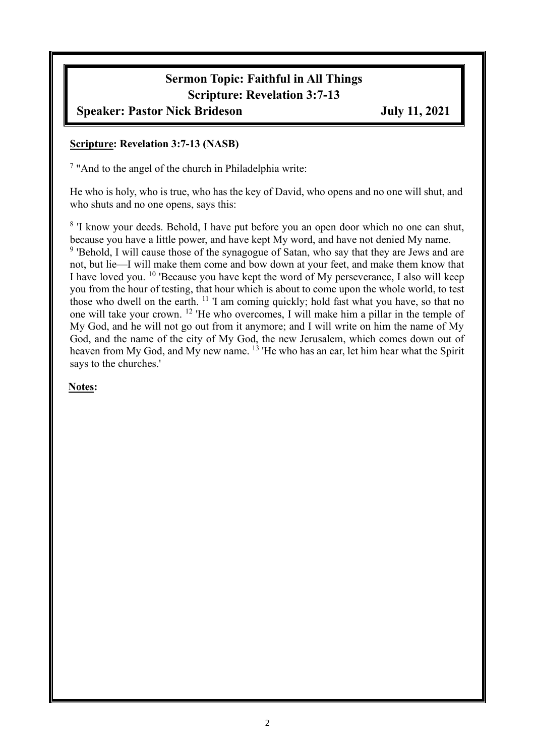# **Sermon Topic: Faithful in All Things Scripture: Revelation 3:7-13**

## **Speaker: Pastor Nick Brideson July 11, 2021**

#### **Scripture: Revelation 3:7-13 (NASB)**

<sup>7</sup> "And to the angel of the church in Philadelphia write:

He who is holy, who is true, who has the key of David, who opens and no one will shut, and who shuts and no one opens, says this:

<sup>8</sup> 'I know your deeds. Behold, I have put before you an open door which no one can shut, because you have a little power, and have kept My word, and have not denied My name. <sup>9</sup> 'Behold, I will cause those of the synagogue of Satan, who say that they are Jews and are not, but lie—I will make them come and bow down at your feet, and make them know that I have loved you. <sup>10</sup> 'Because you have kept the word of My perseverance, I also will keep you from the hour of testing, that hour which is about to come upon the whole world, to test those who dwell on the earth. <sup>11</sup> 'I am coming quickly; hold fast what you have, so that no one will take your crown. <sup>12</sup> 'He who overcomes, I will make him a pillar in the temple of My God, and he will not go out from it anymore; and I will write on him the name of My God, and the name of the city of My God, the new Jerusalem, which comes down out of heaven from My God, and My new name. <sup>13</sup> 'He who has an ear, let him hear what the Spirit says to the churches.'

### **Notes:**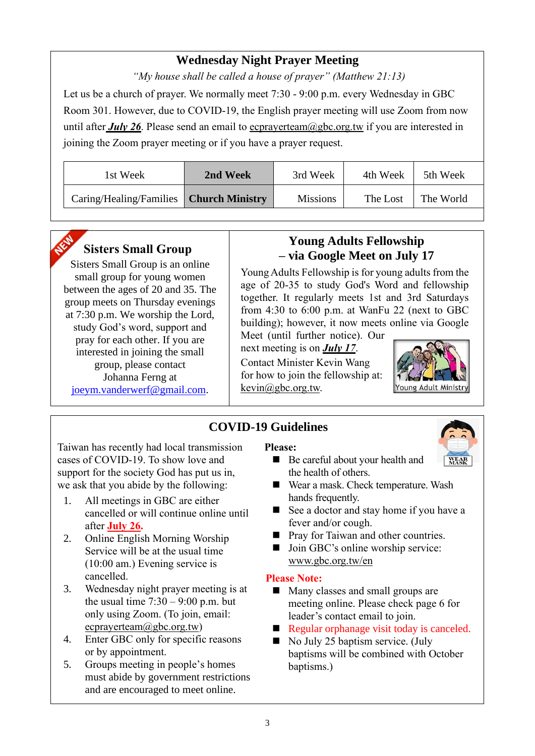## **Wednesday Night Prayer Meeting**

*"My house shall be called a house of prayer" (Matthew 21:13)*

Let us be a church of prayer. We normally meet 7:30 - 9:00 p.m. every Wednesday in GBC Room 301. However, due to COVID-19, the English prayer meeting will use Zoom from now until after *July 26*. Please send an email to ecprayerteam@gbc.org.tw if you are interested in joining the Zoom prayer meeting or if you have a prayer request.

| 1st Week                                  | 2nd Week | 3rd Week        | 4th Week | 5th Week  |
|-------------------------------------------|----------|-----------------|----------|-----------|
| Caring/Healing/Families   Church Ministry |          | <b>Missions</b> | The Lost | The World |



## **Sisters Small Group**

Sisters Small Group is an online small group for young women between the ages of 20 and 35. The group meets on Thursday evenings at 7:30 p.m. We worship the Lord, study God's word, support and pray for each other. If you are interested in joining the small group, please contact Johanna Ferng at [joeym.vanderwerf@gmail.com.](mailto:joeym.vanderwerf@gmail.com)

## **Young Adults Fellowship – via Google Meet on July 17**

Young Adults Fellowship is for young adults from the age of 20-35 to study God's Word and fellowship together. It regularly meets 1st and 3rd Saturdays from 4:30 to 6:00 p.m. at WanFu 22 (next to GBC building); however, it now meets online via Google

Meet (until further notice). Our next meeting is on *July 17*. Contact Minister Kevin Wang for how to join the fellowship at: [kevin@gbc.org.tw.](mailto:kevin@gbc.org.tw)



**WEAR** 

## **COVID-19 Guidelines**

Taiwan has recently had local transmission cases of COVID-19. To show love and support for the society God has put us in, we ask that you abide by the following:

- 1. All meetings in GBC are either cancelled or will continue online until after **July 26.**
- 2. Online English Morning Worship Service will be at the usual time (10:00 am.) Evening service is cancelled.
- 3. Wednesday night prayer meeting is at the usual time  $7:30 - 9:00$  p.m. but only using Zoom. (To join, email: ecprayerteam@gbc.org.tw)
- 4. Enter GBC only for specific reasons or by appointment.
- 5. Groups meeting in people's homes must abide by government restrictions and are encouraged to meet online.

#### **Please:**

- Be careful about your health and the health of others.
- Wear a mask. Check temperature. Wash hands frequently.
- See a doctor and stay home if you have a fever and/or cough.
- Pray for Taiwan and other countries.
- Join GBC's online worship service: www.gbc.org.tw/en

### **Please Note:**

- Many classes and small groups are meeting online. Please check page 6 for leader's contact email to join.
- $\blacksquare$  Regular orphanage visit today is canceled.
- $\blacksquare$  No July 25 baptism service. (July baptisms will be combined with October baptisms.)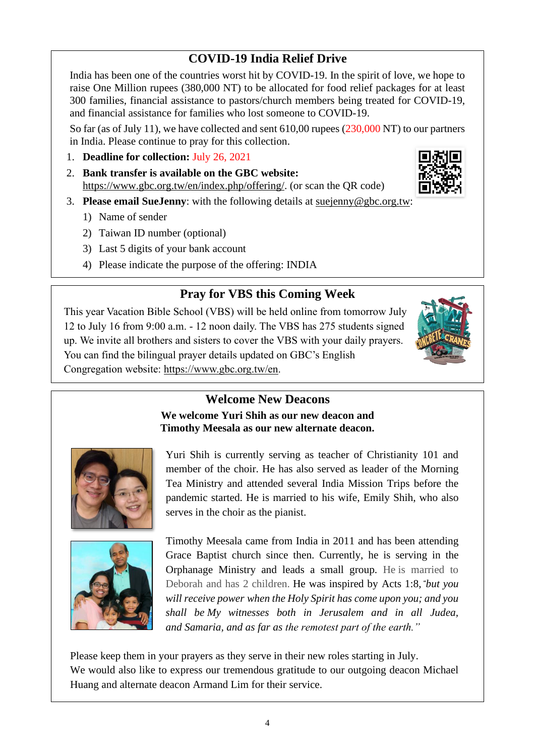## **COVID-19 India Relief Drive**

India has been one of the countries worst hit by COVID-19. In the spirit of love, we hope to raise One Million rupees (380,000 NT) to be allocated for food relief packages for at least 300 families, financial assistance to pastors/church members being treated for COVID-19, and financial assistance for families who lost someone to COVID-19.

So far (as of July 11), we have collected and sent 610,00 rupees (230,000 NT) to our partners in India. Please continue to pray for this collection.

- 1. **Deadline for collection:** July 26, 2021
- 2. **Bank transfer is available on the GBC website:** https://www.gbc.org.tw/en/index.php/offering/. (or scan the QR code)
- 3. **Please email SueJenny**: with the following details at suejenny@gbc.org.tw:
	- 1) Name of sender
	- 2) Taiwan ID number (optional)
	- 3) Last 5 digits of your bank account
	- 4) Please indicate the purpose of the offering: INDIA

## **Pray for VBS this Coming Week**

This year Vacation Bible School (VBS) will be held online from tomorrow July 12 to July 16 from 9:00 a.m. - 12 noon daily. The VBS has 275 students signed up. We invite all brothers and sisters to cover the VBS with your daily prayers. You can find the bilingual prayer details updated on GBC's English Congregation website: https://www.gbc.org.tw/en.

## **Welcome New Deacons**

**We welcome Yuri Shih as our new deacon and Timothy Meesala as our new alternate deacon.**

Yuri Shih is currently serving as teacher of Christianity 101 and member of the choir. He has also served as leader of the Morning Tea Ministry and attended several India Mission Trips before the pandemic started. He is married to his wife, Emily Shih, who also serves in the choir as the pianist.

Timothy Meesala came from India in 2011 and has been attending Grace Baptist church since then. Currently, he is serving in the Orphanage Ministry and leads a small group. He is married to Deborah and has 2 children. He was inspired by Acts 1:8, *"but you will receive power when the Holy Spirit has come upon you; and you shall be My witnesses both in Jerusalem and in all Judea, and Samaria, and as far as the remotest part of the earth."*

Please keep them in your prayers as they serve in their new roles starting in July. We would also like to express our tremendous gratitude to our outgoing deacon Michael Huang and alternate deacon Armand Lim for their service.





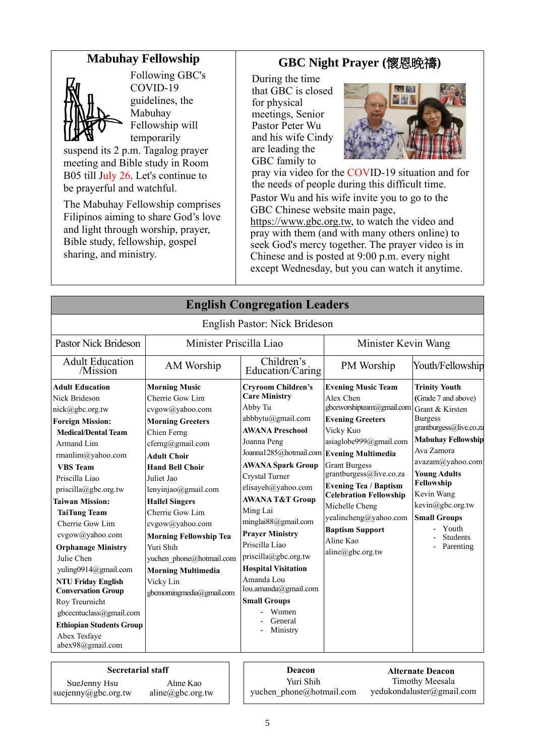## **Mabuhay Fellowship**



Following GBC's COVID-19 guidelines, the Mabuhay Fellowship will temporarily

suspend its 2 p.m. Tagalog prayer meeting and Bible study in Room B05 till July 26. Let's continue to be prayerful and watchful.

The Mabuhay Fellowship comprises Filipinos aiming to share God's love and light through worship, prayer, Bible study, fellowship, gospel sharing, and ministry.

## **GBC Night Prayer (**懷恩晚禱**)**

During the time that GBC is closed for physical meetings, Senior Pastor Peter Wu and his wife Cindy are leading the GBC family to



pray via video for the COVID-19 situation and for the needs of people during this difficult time.

Pastor Wu and his wife invite you to go to the GBC Chinese website main page,

https://www.gbc.org.tw, to watch the video and pray with them (and with many others online) to seek God's mercy together. The prayer video is in Chinese and is posted at 9:00 p.m. every night except Wednesday, but you can watch it anytime.

|                                                                                                                                                                                                                                                                                                                                                                                                                                                                                                                                                             |                                                                                                                                                                                                                                                                                                                                                                                                                               | <b>English Congregation Leaders</b>                                                                                                                                                                                                                                                                                                                                                                                                                                                                         |                                                                                                                                                                                                                                                                                                                                                                 |                                                                                                                                                                                                                                                                                                                   |  |
|-------------------------------------------------------------------------------------------------------------------------------------------------------------------------------------------------------------------------------------------------------------------------------------------------------------------------------------------------------------------------------------------------------------------------------------------------------------------------------------------------------------------------------------------------------------|-------------------------------------------------------------------------------------------------------------------------------------------------------------------------------------------------------------------------------------------------------------------------------------------------------------------------------------------------------------------------------------------------------------------------------|-------------------------------------------------------------------------------------------------------------------------------------------------------------------------------------------------------------------------------------------------------------------------------------------------------------------------------------------------------------------------------------------------------------------------------------------------------------------------------------------------------------|-----------------------------------------------------------------------------------------------------------------------------------------------------------------------------------------------------------------------------------------------------------------------------------------------------------------------------------------------------------------|-------------------------------------------------------------------------------------------------------------------------------------------------------------------------------------------------------------------------------------------------------------------------------------------------------------------|--|
|                                                                                                                                                                                                                                                                                                                                                                                                                                                                                                                                                             |                                                                                                                                                                                                                                                                                                                                                                                                                               | English Pastor: Nick Brideson                                                                                                                                                                                                                                                                                                                                                                                                                                                                               |                                                                                                                                                                                                                                                                                                                                                                 |                                                                                                                                                                                                                                                                                                                   |  |
| <b>Pastor Nick Brideson</b>                                                                                                                                                                                                                                                                                                                                                                                                                                                                                                                                 | Minister Priscilla Liao                                                                                                                                                                                                                                                                                                                                                                                                       |                                                                                                                                                                                                                                                                                                                                                                                                                                                                                                             | Minister Kevin Wang                                                                                                                                                                                                                                                                                                                                             |                                                                                                                                                                                                                                                                                                                   |  |
| <b>Adult Education</b><br>/Mission                                                                                                                                                                                                                                                                                                                                                                                                                                                                                                                          | AM Worship                                                                                                                                                                                                                                                                                                                                                                                                                    | Children's<br>Education/Caring                                                                                                                                                                                                                                                                                                                                                                                                                                                                              | PM Worship                                                                                                                                                                                                                                                                                                                                                      | Youth/Fellowship                                                                                                                                                                                                                                                                                                  |  |
| <b>Adult Education</b><br>Nick Brideson<br>nick@gbc.org.tw<br><b>Foreign Mission:</b><br><b>Medical/Dental Team</b><br>Armand Lim<br>rmanlim@yahoo.com<br><b>VBS</b> Team<br>Priscilla Liao<br>priscilla@gbc.org.tw<br><b>Taiwan Mission:</b><br><b>TaiTung Team</b><br>Cherrie Gow Lim<br>cvgow@yahoo.com<br><b>Orphanage Ministry</b><br>Julie Chen<br>yuling0914@gmail.com<br><b>NTU Friday English</b><br><b>Conversation Group</b><br>Roy Treurnicht<br>gbcecntuclass@gmail.com<br><b>Ethiopian Students Group</b><br>Abex Tesfaye<br>abex98@gmail.com | <b>Morning Music</b><br>Cherrie Gow Lim<br>cvgow@yahoo.com<br><b>Morning Greeters</b><br>Chien Ferng<br>cferng@gmail.com<br><b>Adult Choir</b><br><b>Hand Bell Choir</b><br>Juliet Jao<br>lenyinjao@gmail.com<br><b>Hallel Singers</b><br>Cherrie Gow Lim<br>cvgow@yahoo.com<br><b>Morning Fellowship Tea</b><br>Yuri Shih<br>yuchen phone@hotmail.com<br><b>Morning Multimedia</b><br>Vicky Lin<br>gbcmorningmedia@gmail.com | <b>Cryroom Children's</b><br><b>Care Ministry</b><br>Abby Tu<br>abbbytu@gmail.com<br><b>AWANA Preschool</b><br>Joanna Peng<br>Joanna1285@hotmail.com Evening Multimedia<br><b>AWANA Spark Group</b><br>Crystal Turner<br>elisayeh@yahoo.com<br><b>AWANA T&amp;T Group</b><br>Ming Lai<br>minglai88@gmail.com<br><b>Prayer Ministry</b><br>Priscilla Liao<br>priscilla@gbc.org.tw<br><b>Hospital Visitation</b><br>Amanda Lou<br>lou.amanda@gmail.com<br><b>Small Groups</b><br>Women<br>General<br>Ministry | <b>Evening Music Team</b><br>Alex Chen<br>gbceworshipteam@gmail.com<br><b>Evening Greeters</b><br>Vicky Kuo<br>asiaglobe999@gmail.com<br><b>Grant Burgess</b><br>grantburgess@live.co.za<br><b>Evening Tea / Baptism</b><br><b>Celebration Fellowship</b><br>Michelle Cheng<br>yealincheng@yahoo.com<br><b>Baptism Support</b><br>Aline Kao<br>aline@gbc.org.tw | <b>Trinity Youth</b><br>(Grade 7 and above)<br>Grant & Kirsten<br><b>Burgess</b><br>grantburgess@live.co.za<br><b>Mabuhay Fellowship</b><br>Ava Zamora<br>avazam@yahoo.com<br><b>Young Adults</b><br>Fellowship<br>Kevin Wang<br>kevin@gbc.org.tw<br><b>Small Groups</b><br>Youth<br><b>Students</b><br>Parenting |  |
| <b>Secretarial staff</b>                                                                                                                                                                                                                                                                                                                                                                                                                                                                                                                                    |                                                                                                                                                                                                                                                                                                                                                                                                                               | Deacon                                                                                                                                                                                                                                                                                                                                                                                                                                                                                                      |                                                                                                                                                                                                                                                                                                                                                                 | <b>Alternate Deacon</b>                                                                                                                                                                                                                                                                                           |  |

SueJenny Hsu suejenny@gbc.org.tw

Aline Kao aline@gbc.org.tw

Yuri Shih yuchen\_phone@hotmail.com

**Alternate Deacon** Timothy Meesala yedukondaluster@gmail.com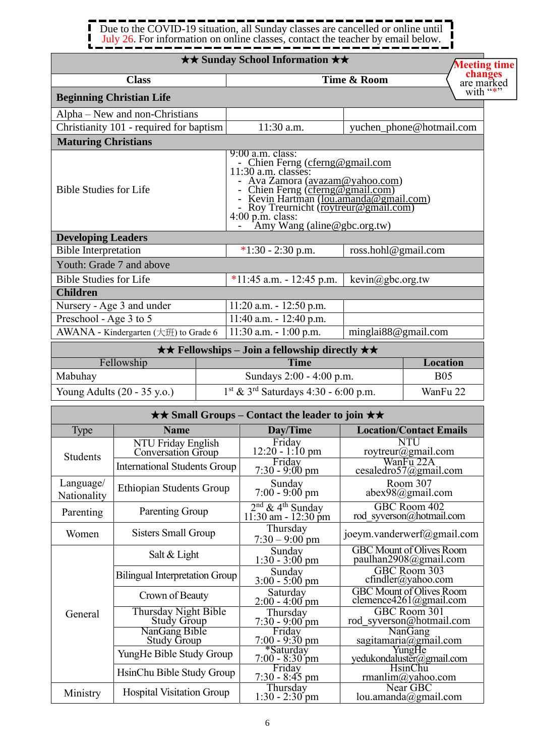#### . . . . 1  $\blacksquare$ Due to the COVID-19 situation, all Sunday classes are cancelled or online until  $\blacksquare$ П July 26. For information on online classes, contact the teacher by email below. J

*<u>time</u>* 

|                                                  |                                            |                                                                                                                                                                                                                                                                                                     | <b>★★ Sunday School Information ★★</b>                               |                     | <b>Meeting tim</b>                                            |
|--------------------------------------------------|--------------------------------------------|-----------------------------------------------------------------------------------------------------------------------------------------------------------------------------------------------------------------------------------------------------------------------------------------------------|----------------------------------------------------------------------|---------------------|---------------------------------------------------------------|
|                                                  | <b>Class</b>                               |                                                                                                                                                                                                                                                                                                     |                                                                      | Time & Room         | changes<br>are marked                                         |
|                                                  | <b>Beginning Christian Life</b>            |                                                                                                                                                                                                                                                                                                     |                                                                      |                     | with "*"                                                      |
|                                                  | Alpha – New and non-Christians             |                                                                                                                                                                                                                                                                                                     |                                                                      |                     |                                                               |
|                                                  | Christianity 101 - required for baptism    |                                                                                                                                                                                                                                                                                                     | 11:30 a.m.                                                           |                     | yuchen_phone@hotmail.com                                      |
| <b>Maturing Christians</b>                       |                                            |                                                                                                                                                                                                                                                                                                     |                                                                      |                     |                                                               |
| <b>Bible Studies for Life</b>                    |                                            | $9:00$ a.m. class:<br>- Chien Ferng (cferng@gmail.com<br>11:30 a.m. classes:<br>- Ava Zamora (avazam@yahoo.com)<br>- Chien Ferng (cferng@gmail.com)<br>- Kevin Hartman ( <u>lou.amanda@gmail.com)</u><br>- Roy Treurnicht (roytreur@gmail.com)<br>4:00 p.m. class:<br>- Amy Wang (aline@gbc.org.tw) |                                                                      |                     |                                                               |
| <b>Developing Leaders</b>                        |                                            |                                                                                                                                                                                                                                                                                                     |                                                                      |                     |                                                               |
| <b>Bible Interpretation</b>                      |                                            |                                                                                                                                                                                                                                                                                                     | $*1:30 - 2:30$ p.m.                                                  | ross.hohl@gmail.com |                                                               |
|                                                  | Youth: Grade 7 and above                   |                                                                                                                                                                                                                                                                                                     |                                                                      |                     |                                                               |
| <b>Bible Studies for Life</b><br><b>Children</b> |                                            |                                                                                                                                                                                                                                                                                                     | $\sqrt[*]{11}$ :45 a.m. - 12:45 p.m.                                 | kevin@gbc.org.tw    |                                                               |
|                                                  | Nursery - Age 3 and under                  |                                                                                                                                                                                                                                                                                                     | $11:20$ a.m. $-12:50$ p.m.                                           |                     |                                                               |
| Preschool - Age 3 to 5                           |                                            |                                                                                                                                                                                                                                                                                                     | 11:40 a.m. - 12:40 p.m.                                              |                     |                                                               |
|                                                  | AWANA - Kindergarten (大班) to Grade 6       |                                                                                                                                                                                                                                                                                                     | $11:30$ a.m. $-1:00$ p.m.                                            | minglai88@gmail.com |                                                               |
|                                                  |                                            |                                                                                                                                                                                                                                                                                                     | $\star \star$ Fellowships – Join a fellowship directly $\star \star$ |                     |                                                               |
|                                                  | Fellowship                                 |                                                                                                                                                                                                                                                                                                     | <b>Time</b>                                                          |                     | Location                                                      |
| Mabuhay                                          |                                            |                                                                                                                                                                                                                                                                                                     | Sundays 2:00 - 4:00 p.m.                                             |                     | <b>B05</b>                                                    |
|                                                  | Young Adults (20 - 35 y.o.)                |                                                                                                                                                                                                                                                                                                     | $1st$ & 3 <sup>rd</sup> Saturdays 4:30 - 6:00 p.m.                   |                     | WanFu 22                                                      |
|                                                  |                                            |                                                                                                                                                                                                                                                                                                     | <b>★★ Small Groups – Contact the leader to join ★★</b>               |                     |                                                               |
| Type                                             | <b>Name</b>                                |                                                                                                                                                                                                                                                                                                     | Day/Time                                                             |                     | <b>Location/Contact Emails</b>                                |
| Students                                         | NTU Friday English<br>Conversation Group   |                                                                                                                                                                                                                                                                                                     | Friday<br>12:20 - 1:10 pm<br>Friday                                  |                     | roytreur@gmail.com<br>WanFu 22A                               |
|                                                  | <b>International Students Group</b>        |                                                                                                                                                                                                                                                                                                     | $7:30 - 9:00 \text{ pm}$                                             |                     | cesaledro57@gmail.com                                         |
| Language/<br>Nationality                         | <b>Ethiopian Students Group</b>            |                                                                                                                                                                                                                                                                                                     | Sunday<br>$7:00 - 9:00$ pm                                           |                     | Room 307<br>$abex98$ @gmail.com                               |
| Parenting                                        | Parenting Group                            |                                                                                                                                                                                                                                                                                                     | $2nd$ & 4 <sup>th</sup> Sunday<br>11:30 am - 12:30 pm                |                     | GBC Room 402<br>rod syverson@hotmail.com                      |
| Women                                            | <b>Sisters Small Group</b>                 |                                                                                                                                                                                                                                                                                                     | Thursday<br>$7:30 - 9:00$ pm                                         |                     | joeym.vanderwerf@gmail.com                                    |
|                                                  | Salt & Light                               |                                                                                                                                                                                                                                                                                                     | Sunday<br>$1:30 - 3:00$ pm                                           |                     | <b>GBC Mount of Olives Room</b><br>paulhan2908@gmail.com      |
|                                                  | <b>Bilingual Interpretation Group</b>      |                                                                                                                                                                                                                                                                                                     | Sunday<br>$3:00 - 5:00$ pm                                           |                     | GBC Room 303<br>$cfindler(a)$ yahoo.com                       |
|                                                  | Crown of Beauty                            |                                                                                                                                                                                                                                                                                                     | Saturday<br>$2:00 - 4:00$ pm                                         |                     | <b>GBC Mount of Olives Room</b><br>clemence $4261$ @gmail.com |
| General                                          | Thursday Night Bible<br><b>Study Group</b> |                                                                                                                                                                                                                                                                                                     | Thursday<br>$7:30 - 9:00$ pm                                         |                     | GBC Room 301<br>rod syverson@hotmail.com                      |
|                                                  | NanGang Bible<br><b>Study Group</b>        |                                                                                                                                                                                                                                                                                                     | Friday<br>7:00 - 9:30 pm                                             |                     | NanGang<br>sagitamaria@gmail.com                              |
|                                                  | YungHe Bible Study Group                   |                                                                                                                                                                                                                                                                                                     | *Saturday<br>$7:00 - 8:30$ pm                                        |                     | yedukondaluster@gmail.com                                     |
|                                                  | HsinChu Bible Study Group                  |                                                                                                                                                                                                                                                                                                     | Friday<br>7:30 - 8:45 pm                                             |                     | <b>HsinChu</b><br>rmanlim@yahoo.com                           |
| Ministry                                         | <b>Hospital Visitation Group</b>           |                                                                                                                                                                                                                                                                                                     | Thursday<br>$1:30 - 2:30$ pm                                         |                     | Near GBC<br>lou. amanda@gmail.com                             |